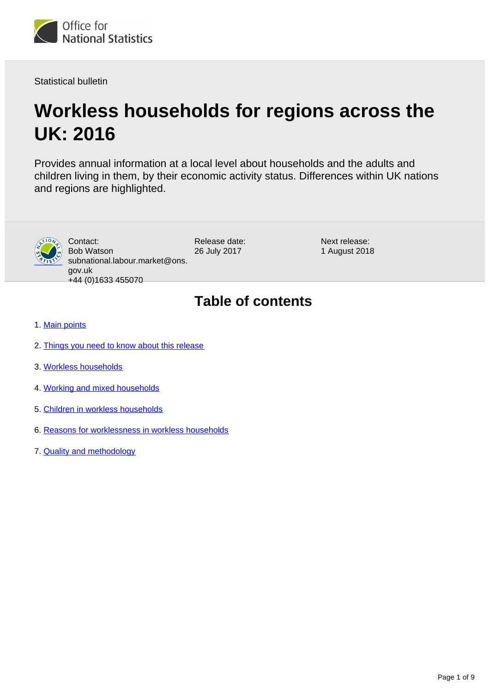

Statistical bulletin

# **Workless households for regions across the UK: 2016**

Provides annual information at a local level about households and the adults and children living in them, by their economic activity status. Differences within UK nations and regions are highlighted.



Contact: Bob Watson subnational.labour.market@ons. gov.uk +44 (0)1633 455070

Release date: 26 July 2017

Next release: 1 August 2018

## **Table of contents**

- 1. [Main points](#page-1-0)
- 2. [Things you need to know about this release](#page-1-1)
- 3. [Workless households](#page-3-0)
- 4. [Working and mixed households](#page-5-0)
- 5. [Children in workless households](#page-5-1)
- 6. [Reasons for worklessness in workless households](#page-6-0)
- 7. [Quality and methodology](#page-7-0)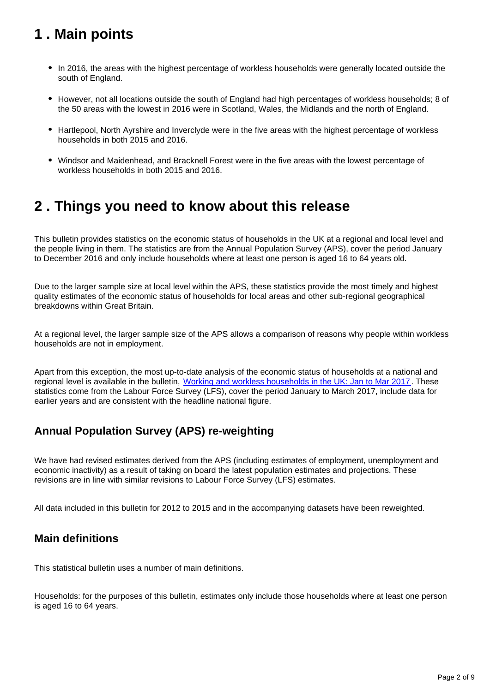## <span id="page-1-0"></span>**1 . Main points**

- In 2016, the areas with the highest percentage of workless households were generally located outside the south of England.
- However, not all locations outside the south of England had high percentages of workless households; 8 of the 50 areas with the lowest in 2016 were in Scotland, Wales, the Midlands and the north of England.
- Hartlepool, North Ayrshire and Inverclyde were in the five areas with the highest percentage of workless households in both 2015 and 2016.
- Windsor and Maidenhead, and Bracknell Forest were in the five areas with the lowest percentage of workless households in both 2015 and 2016.

## <span id="page-1-1"></span>**2 . Things you need to know about this release**

This bulletin provides statistics on the economic status of households in the UK at a regional and local level and the people living in them. The statistics are from the Annual Population Survey (APS), cover the period January to December 2016 and only include households where at least one person is aged 16 to 64 years old.

Due to the larger sample size at local level within the APS, these statistics provide the most timely and highest quality estimates of the economic status of households for local areas and other sub-regional geographical breakdowns within Great Britain.

At a regional level, the larger sample size of the APS allows a comparison of reasons why people within workless households are not in employment.

Apart from this exception, the most up-to-date analysis of the economic status of households at a national and regional level is available in the bulletin, [Working and workless households in the UK: Jan to Mar 2017.](https://www.ons.gov.uk/employmentandlabourmarket/peopleinwork/employmentandemployeetypes/bulletins/workingandworklesshouseholds/jantomar2017) These statistics come from the Labour Force Survey (LFS), cover the period January to March 2017, include data for earlier years and are consistent with the headline national figure.

## **Annual Population Survey (APS) re-weighting**

We have had revised estimates derived from the APS (including estimates of employment, unemployment and economic inactivity) as a result of taking on board the latest population estimates and projections. These revisions are in line with similar revisions to Labour Force Survey (LFS) estimates.

All data included in this bulletin for 2012 to 2015 and in the accompanying datasets have been reweighted.

### **Main definitions**

This statistical bulletin uses a number of main definitions.

Households: for the purposes of this bulletin, estimates only include those households where at least one person is aged 16 to 64 years.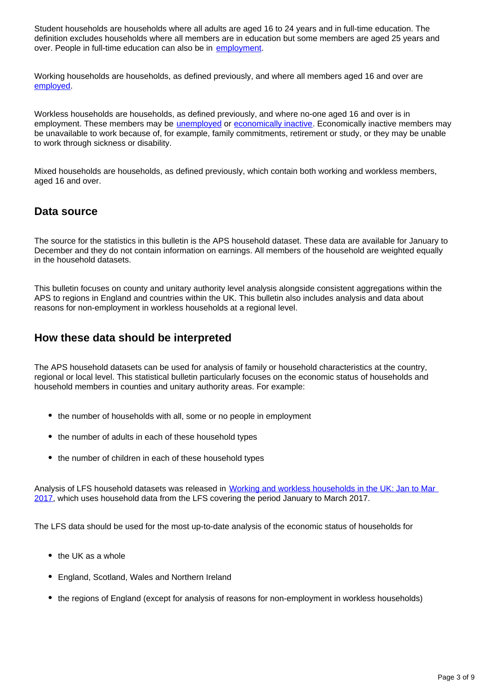Student households are households where all adults are aged 16 to 24 years and in full-time education. The definition excludes households where all members are in education but some members are aged 25 years and over. People in full-time education can also be in [employment.](https://www.ons.gov.uk/employmentandlabourmarket/peopleinwork/employmentandemployeetypes/methodologies/aguidetolabourmarketstatistics#employment)

Working households are households, as defined previously, and where all members aged 16 and over are [employed.](https://www.ons.gov.uk/employmentandlabourmarket/peopleinwork/employmentandemployeetypes/methodologies/aguidetolabourmarketstatistics#employment)

Workless households are households, as defined previously, and where no-one aged 16 and over is in employment. These members may be [unemployed](https://www.ons.gov.uk/employmentandlabourmarket/peopleinwork/employmentandemployeetypes/methodologies/aguidetolabourmarketstatistics#unemployment) or [economically inactive.](https://www.ons.gov.uk/employmentandlabourmarket/peopleinwork/employmentandemployeetypes/methodologies/aguidetolabourmarketstatistics#economic-inactivity) Economically inactive members may be unavailable to work because of, for example, family commitments, retirement or study, or they may be unable to work through sickness or disability.

Mixed households are households, as defined previously, which contain both working and workless members, aged 16 and over.

### **Data source**

The source for the statistics in this bulletin is the APS household dataset. These data are available for January to December and they do not contain information on earnings. All members of the household are weighted equally in the household datasets.

This bulletin focuses on county and unitary authority level analysis alongside consistent aggregations within the APS to regions in England and countries within the UK. This bulletin also includes analysis and data about reasons for non-employment in workless households at a regional level.

### **How these data should be interpreted**

The APS household datasets can be used for analysis of family or household characteristics at the country, regional or local level. This statistical bulletin particularly focuses on the economic status of households and household members in counties and unitary authority areas. For example:

- the number of households with all, some or no people in employment
- the number of adults in each of these household types
- the number of children in each of these household types

Analysis of LFS household datasets was released in Working and workless households in the UK: Jan to Mar [2017](https://www.ons.gov.uk/employmentandlabourmarket/peopleinwork/employmentandemployeetypes/bulletins/workingandworklesshouseholds/jantomar2017), which uses household data from the LFS covering the period January to March 2017.

The LFS data should be used for the most up-to-date analysis of the economic status of households for

- $\bullet$  the UK as a whole
- England, Scotland, Wales and Northern Ireland
- the regions of England (except for analysis of reasons for non-employment in workless households)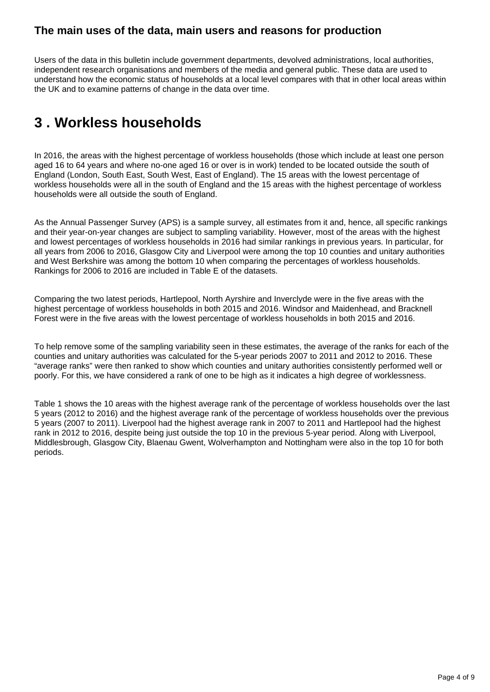### **The main uses of the data, main users and reasons for production**

Users of the data in this bulletin include government departments, devolved administrations, local authorities, independent research organisations and members of the media and general public. These data are used to understand how the economic status of households at a local level compares with that in other local areas within the UK and to examine patterns of change in the data over time.

## <span id="page-3-0"></span>**3 . Workless households**

In 2016, the areas with the highest percentage of workless households (those which include at least one person aged 16 to 64 years and where no-one aged 16 or over is in work) tended to be located outside the south of England (London, South East, South West, East of England). The 15 areas with the lowest percentage of workless households were all in the south of England and the 15 areas with the highest percentage of workless households were all outside the south of England.

As the Annual Passenger Survey (APS) is a sample survey, all estimates from it and, hence, all specific rankings and their year-on-year changes are subject to sampling variability. However, most of the areas with the highest and lowest percentages of workless households in 2016 had similar rankings in previous years. In particular, for all years from 2006 to 2016, Glasgow City and Liverpool were among the top 10 counties and unitary authorities and West Berkshire was among the bottom 10 when comparing the percentages of workless households. Rankings for 2006 to 2016 are included in Table E of the datasets.

Comparing the two latest periods, Hartlepool, North Ayrshire and Inverclyde were in the five areas with the highest percentage of workless households in both 2015 and 2016. Windsor and Maidenhead, and Bracknell Forest were in the five areas with the lowest percentage of workless households in both 2015 and 2016.

To help remove some of the sampling variability seen in these estimates, the average of the ranks for each of the counties and unitary authorities was calculated for the 5-year periods 2007 to 2011 and 2012 to 2016. These "average ranks" were then ranked to show which counties and unitary authorities consistently performed well or poorly. For this, we have considered a rank of one to be high as it indicates a high degree of worklessness.

Table 1 shows the 10 areas with the highest average rank of the percentage of workless households over the last 5 years (2012 to 2016) and the highest average rank of the percentage of workless households over the previous 5 years (2007 to 2011). Liverpool had the highest average rank in 2007 to 2011 and Hartlepool had the highest rank in 2012 to 2016, despite being just outside the top 10 in the previous 5-year period. Along with Liverpool, Middlesbrough, Glasgow City, Blaenau Gwent, Wolverhampton and Nottingham were also in the top 10 for both periods.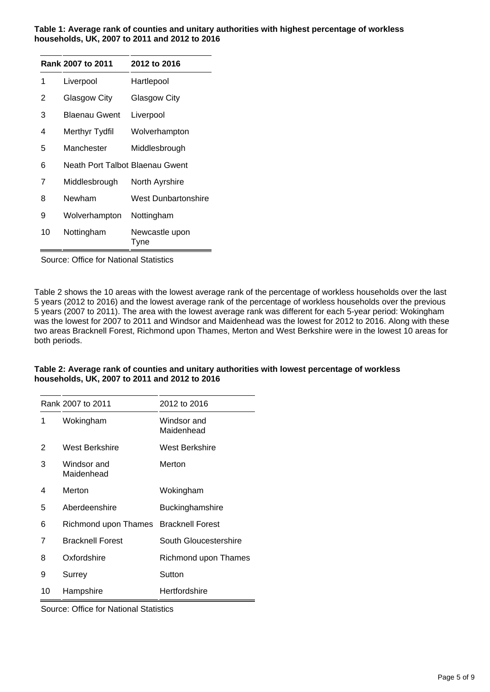#### **Table 1: Average rank of counties and unitary authorities with highest percentage of workless households, UK, 2007 to 2011 and 2012 to 2016**

|    | Rank 2007 to 2011               | 2012 to 2016           |
|----|---------------------------------|------------------------|
| 1  | Liverpool                       | Hartlepool             |
| 2  | Glasgow City                    | <b>Glasgow City</b>    |
| 3  | <b>Blaenau Gwent</b>            | Liverpool              |
| 4  | Merthyr Tydfil                  | Wolverhampton          |
| 5  | Manchester                      | Middlesbrough          |
| 6  | Neath Port Talbot Blaenau Gwent |                        |
| 7  | Middlesbrough                   | North Ayrshire         |
| 8  | Newham                          | West Dunbartonshire    |
| 9  | Wolverhampton                   | Nottingham             |
| 10 | Nottingham                      | Newcastle upon<br>Tyne |

Source: Office for National Statistics

Table 2 shows the 10 areas with the lowest average rank of the percentage of workless households over the last 5 years (2012 to 2016) and the lowest average rank of the percentage of workless households over the previous 5 years (2007 to 2011). The area with the lowest average rank was different for each 5-year period: Wokingham was the lowest for 2007 to 2011 and Windsor and Maidenhead was the lowest for 2012 to 2016. Along with these two areas Bracknell Forest, Richmond upon Thames, Merton and West Berkshire were in the lowest 10 areas for both periods.

### **Table 2: Average rank of counties and unitary authorities with lowest percentage of workless households, UK, 2007 to 2011 and 2012 to 2016**

| Rank 2007 to 2011 |                           | 2012 to 2016              |  |
|-------------------|---------------------------|---------------------------|--|
| 1                 | Wokingham                 | Windsor and<br>Maidenhead |  |
| 2                 | West Berkshire            | West Berkshire            |  |
| 3                 | Windsor and<br>Maidenhead | Merton                    |  |
| 4                 | Merton                    | Wokingham                 |  |
| 5                 | Aberdeenshire             | Buckinghamshire           |  |
| 6                 | Richmond upon Thames      | <b>Bracknell Forest</b>   |  |
| 7                 | <b>Bracknell Forest</b>   | South Gloucestershire     |  |
| 8                 | Oxfordshire               | Richmond upon Thames      |  |
| 9                 | Surrey                    | Sutton                    |  |
| 10                | Hampshire                 | Hertfordshire             |  |

Source: Office for National Statistics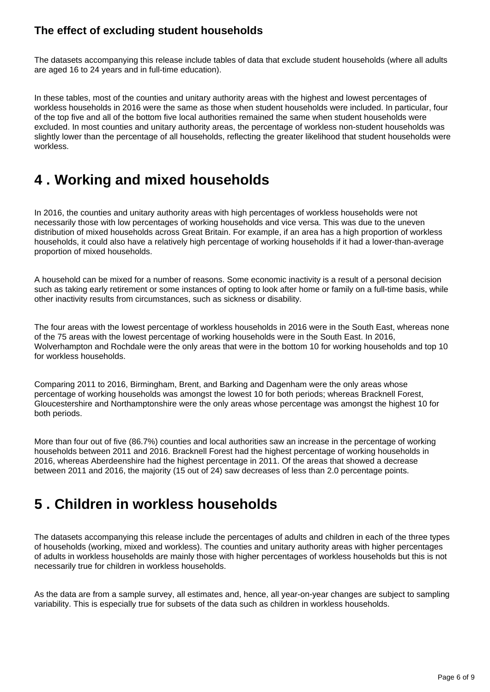### **The effect of excluding student households**

The datasets accompanying this release include tables of data that exclude student households (where all adults are aged 16 to 24 years and in full-time education).

In these tables, most of the counties and unitary authority areas with the highest and lowest percentages of workless households in 2016 were the same as those when student households were included. In particular, four of the top five and all of the bottom five local authorities remained the same when student households were excluded. In most counties and unitary authority areas, the percentage of workless non-student households was slightly lower than the percentage of all households, reflecting the greater likelihood that student households were workless.

## <span id="page-5-0"></span>**4 . Working and mixed households**

In 2016, the counties and unitary authority areas with high percentages of workless households were not necessarily those with low percentages of working households and vice versa. This was due to the uneven distribution of mixed households across Great Britain. For example, if an area has a high proportion of workless households, it could also have a relatively high percentage of working households if it had a lower-than-average proportion of mixed households.

A household can be mixed for a number of reasons. Some economic inactivity is a result of a personal decision such as taking early retirement or some instances of opting to look after home or family on a full-time basis, while other inactivity results from circumstances, such as sickness or disability.

The four areas with the lowest percentage of workless households in 2016 were in the South East, whereas none of the 75 areas with the lowest percentage of working households were in the South East. In 2016, Wolverhampton and Rochdale were the only areas that were in the bottom 10 for working households and top 10 for workless households.

Comparing 2011 to 2016, Birmingham, Brent, and Barking and Dagenham were the only areas whose percentage of working households was amongst the lowest 10 for both periods; whereas Bracknell Forest, Gloucestershire and Northamptonshire were the only areas whose percentage was amongst the highest 10 for both periods.

More than four out of five (86.7%) counties and local authorities saw an increase in the percentage of working households between 2011 and 2016. Bracknell Forest had the highest percentage of working households in 2016, whereas Aberdeenshire had the highest percentage in 2011. Of the areas that showed a decrease between 2011 and 2016, the majority (15 out of 24) saw decreases of less than 2.0 percentage points.

## <span id="page-5-1"></span>**5 . Children in workless households**

The datasets accompanying this release include the percentages of adults and children in each of the three types of households (working, mixed and workless). The counties and unitary authority areas with higher percentages of adults in workless households are mainly those with higher percentages of workless households but this is not necessarily true for children in workless households.

As the data are from a sample survey, all estimates and, hence, all year-on-year changes are subject to sampling variability. This is especially true for subsets of the data such as children in workless households.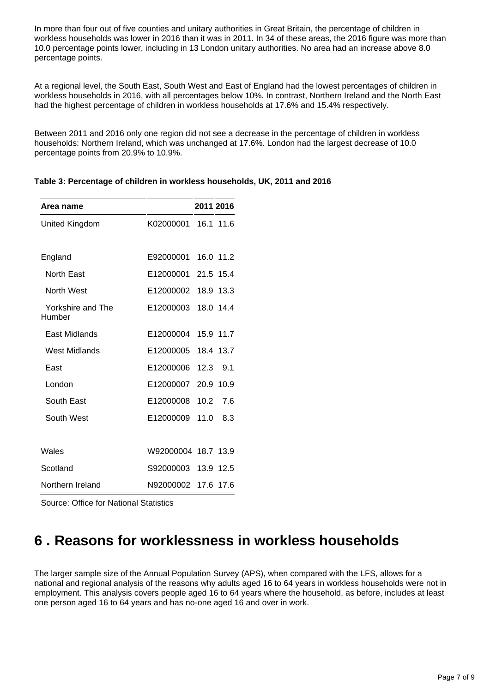In more than four out of five counties and unitary authorities in Great Britain, the percentage of children in workless households was lower in 2016 than it was in 2011. In 34 of these areas, the 2016 figure was more than 10.0 percentage points lower, including in 13 London unitary authorities. No area had an increase above 8.0 percentage points.

At a regional level, the South East, South West and East of England had the lowest percentages of children in workless households in 2016, with all percentages below 10%. In contrast, Northern Ireland and the North East had the highest percentage of children in workless households at 17.6% and 15.4% respectively.

Between 2011 and 2016 only one region did not see a decrease in the percentage of children in workless households: Northern Ireland, which was unchanged at 17.6%. London had the largest decrease of 10.0 percentage points from 20.9% to 10.9%.

| Area name                   |                     |      | 2011 2016 |
|-----------------------------|---------------------|------|-----------|
| United Kingdom              | K02000001           |      | 16.1 11.6 |
|                             |                     |      |           |
| England                     | E92000001           |      | 16.0 11.2 |
| North East                  | E12000001 21.5 15.4 |      |           |
| North West                  | E12000002           |      | 18.9 13.3 |
| Yorkshire and The<br>Humber | E12000003           |      | 18.0 14.4 |
| East Midlands               | E12000004           |      | 15.9 11.7 |
| <b>West Midlands</b>        | E12000005           | 18.4 | 13.7      |
| East                        | E12000006           | 12.3 | 9.1       |
| London                      | E12000007           |      | 20.9 10.9 |
| South East                  | E12000008           | 10.2 | 7.6       |
| South West                  | E12000009           | 11.0 | 8.3       |
|                             |                     |      |           |
| Wales                       | W92000004 18.7 13.9 |      |           |
| Scotland                    | S92000003           | 13.9 | 12.5      |
| Northern Ireland            | N92000002           | 17.6 | 17.6      |

**Table 3: Percentage of children in workless households, UK, 2011 and 2016**

Source: Office for National Statistics

## <span id="page-6-0"></span>**6 . Reasons for worklessness in workless households**

The larger sample size of the Annual Population Survey (APS), when compared with the LFS, allows for a national and regional analysis of the reasons why adults aged 16 to 64 years in workless households were not in employment. This analysis covers people aged 16 to 64 years where the household, as before, includes at least one person aged 16 to 64 years and has no-one aged 16 and over in work.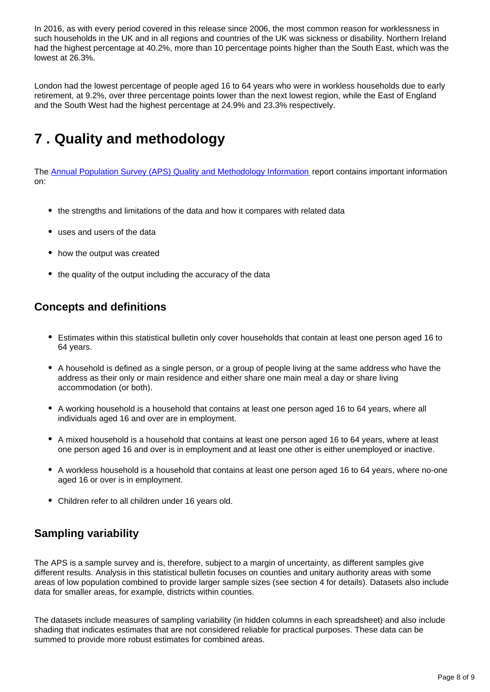In 2016, as with every period covered in this release since 2006, the most common reason for worklessness in such households in the UK and in all regions and countries of the UK was sickness or disability. Northern Ireland had the highest percentage at 40.2%, more than 10 percentage points higher than the South East, which was the lowest at 26.3%.

London had the lowest percentage of people aged 16 to 64 years who were in workless households due to early retirement, at 9.2%, over three percentage points lower than the next lowest region, while the East of England and the South West had the highest percentage at 24.9% and 23.3% respectively.

## <span id="page-7-0"></span>**7 . Quality and methodology**

The [Annual Population Survey \(APS\) Quality and Methodology Information](https://www.ons.gov.uk/employmentandlabourmarket/peopleinwork/employmentandemployeetypes/qmis/labourforcesurveylfsqmi) report contains important information on:

- the strengths and limitations of the data and how it compares with related data
- uses and users of the data
- how the output was created
- the quality of the output including the accuracy of the data

### **Concepts and definitions**

- Estimates within this statistical bulletin only cover households that contain at least one person aged 16 to 64 years.
- A household is defined as a single person, or a group of people living at the same address who have the address as their only or main residence and either share one main meal a day or share living accommodation (or both).
- A working household is a household that contains at least one person aged 16 to 64 years, where all individuals aged 16 and over are in employment.
- A mixed household is a household that contains at least one person aged 16 to 64 years, where at least one person aged 16 and over is in employment and at least one other is either unemployed or inactive.
- A workless household is a household that contains at least one person aged 16 to 64 years, where no-one aged 16 or over is in employment.
- Children refer to all children under 16 years old.

## **Sampling variability**

The APS is a sample survey and is, therefore, subject to a margin of uncertainty, as different samples give different results. Analysis in this statistical bulletin focuses on counties and unitary authority areas with some areas of low population combined to provide larger sample sizes (see section 4 for details). Datasets also include data for smaller areas, for example, districts within counties.

The datasets include measures of sampling variability (in hidden columns in each spreadsheet) and also include shading that indicates estimates that are not considered reliable for practical purposes. These data can be summed to provide more robust estimates for combined areas.